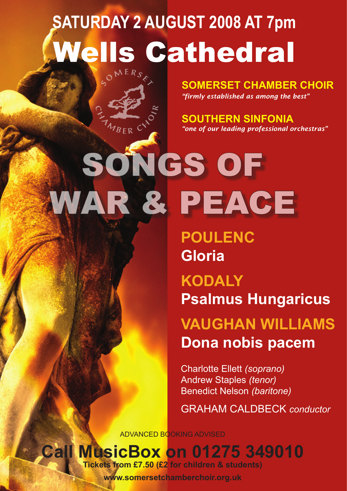# **SATURDAY 2 AUGUST 2008 AT 7pm Wells Cathedral**

**SOMERSET CHAMBER CHOIR** *"firmly established as among the best"*

**SOUTHERN SINFONIA** *"one of our leading professional orchestras"*

SONGS OF WAR & PEACE

MBER CY

**POULENC Gloria** 

**KODALY Psalmus Hungaricus**

**VAUGHAN WILLIAMS Dona nobis pacem**

Charlotte Ellett *(soprano)*  Andrew Staples *(tenor)*  Benedict Nelson *(baritone)*

GRAHAM CALDBECK *conductor*

ADVANCED BOOKING ADVISED

**Call MusicBox on 01275 349010**

**Tickets from £7.50 (£2 for children & students)**

**www.somersetchamberchoir.org.uk**